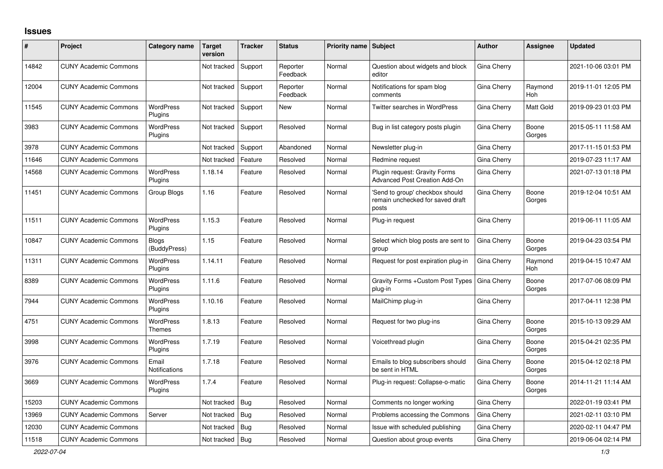## **Issues**

| ∦     | Project                      | Category name                 | Target<br>version | <b>Tracker</b> | <b>Status</b>        | Priority name   Subject |                                                                              | <b>Author</b> | Assignee              | <b>Updated</b>      |
|-------|------------------------------|-------------------------------|-------------------|----------------|----------------------|-------------------------|------------------------------------------------------------------------------|---------------|-----------------------|---------------------|
| 14842 | <b>CUNY Academic Commons</b> |                               | Not tracked       | Support        | Reporter<br>Feedback | Normal                  | Question about widgets and block<br>editor                                   | Gina Cherry   |                       | 2021-10-06 03:01 PM |
| 12004 | <b>CUNY Academic Commons</b> |                               | Not tracked       | Support        | Reporter<br>Feedback | Normal                  | Notifications for spam blog<br>comments                                      | Gina Cherry   | Raymond<br><b>Hoh</b> | 2019-11-01 12:05 PM |
| 11545 | <b>CUNY Academic Commons</b> | <b>WordPress</b><br>Plugins   | Not tracked       | Support        | New                  | Normal                  | Twitter searches in WordPress                                                | Gina Cherry   | Matt Gold             | 2019-09-23 01:03 PM |
| 3983  | <b>CUNY Academic Commons</b> | <b>WordPress</b><br>Plugins   | Not tracked       | Support        | Resolved             | Normal                  | Bug in list category posts plugin                                            | Gina Cherry   | Boone<br>Gorges       | 2015-05-11 11:58 AM |
| 3978  | <b>CUNY Academic Commons</b> |                               | Not tracked       | Support        | Abandoned            | Normal                  | Newsletter plug-in                                                           | Gina Cherry   |                       | 2017-11-15 01:53 PM |
| 11646 | <b>CUNY Academic Commons</b> |                               | Not tracked       | Feature        | Resolved             | Normal                  | Redmine request                                                              | Gina Cherry   |                       | 2019-07-23 11:17 AM |
| 14568 | <b>CUNY Academic Commons</b> | <b>WordPress</b><br>Plugins   | 1.18.14           | Feature        | Resolved             | Normal                  | Plugin request: Gravity Forms<br><b>Advanced Post Creation Add-On</b>        | Gina Cherry   |                       | 2021-07-13 01:18 PM |
| 11451 | <b>CUNY Academic Commons</b> | Group Blogs                   | 1.16              | Feature        | Resolved             | Normal                  | 'Send to group' checkbox should<br>remain unchecked for saved draft<br>posts | Gina Cherry   | Boone<br>Gorges       | 2019-12-04 10:51 AM |
| 11511 | <b>CUNY Academic Commons</b> | <b>WordPress</b><br>Plugins   | 1.15.3            | Feature        | Resolved             | Normal                  | Plug-in request                                                              | Gina Cherry   |                       | 2019-06-11 11:05 AM |
| 10847 | <b>CUNY Academic Commons</b> | <b>Blogs</b><br>(BuddyPress)  | 1.15              | Feature        | Resolved             | Normal                  | Select which blog posts are sent to<br>group                                 | Gina Cherry   | Boone<br>Gorges       | 2019-04-23 03:54 PM |
| 11311 | <b>CUNY Academic Commons</b> | WordPress<br>Plugins          | 1.14.11           | Feature        | Resolved             | Normal                  | Request for post expiration plug-in                                          | Gina Cherry   | Raymond<br>Hoh        | 2019-04-15 10:47 AM |
| 8389  | <b>CUNY Academic Commons</b> | WordPress<br>Plugins          | 1.11.6            | Feature        | Resolved             | Normal                  | Gravity Forms + Custom Post Types<br>plug-in                                 | Gina Cherry   | Boone<br>Gorges       | 2017-07-06 08:09 PM |
| 7944  | <b>CUNY Academic Commons</b> | <b>WordPress</b><br>Plugins   | 1.10.16           | Feature        | Resolved             | Normal                  | MailChimp plug-in                                                            | Gina Cherry   |                       | 2017-04-11 12:38 PM |
| 4751  | <b>CUNY Academic Commons</b> | WordPress<br><b>Themes</b>    | 1.8.13            | Feature        | Resolved             | Normal                  | Request for two plug-ins                                                     | Gina Cherry   | Boone<br>Gorges       | 2015-10-13 09:29 AM |
| 3998  | <b>CUNY Academic Commons</b> | <b>WordPress</b><br>Plugins   | 1.7.19            | Feature        | Resolved             | Normal                  | Voicethread plugin                                                           | Gina Cherry   | Boone<br>Gorges       | 2015-04-21 02:35 PM |
| 3976  | <b>CUNY Academic Commons</b> | Email<br><b>Notifications</b> | 1.7.18            | Feature        | Resolved             | Normal                  | Emails to blog subscribers should<br>be sent in HTML                         | Gina Cherry   | Boone<br>Gorges       | 2015-04-12 02:18 PM |
| 3669  | <b>CUNY Academic Commons</b> | <b>WordPress</b><br>Plugins   | 1.7.4             | Feature        | Resolved             | Normal                  | Plug-in request: Collapse-o-matic                                            | Gina Cherry   | Boone<br>Gorges       | 2014-11-21 11:14 AM |
| 15203 | <b>CUNY Academic Commons</b> |                               | Not tracked       | Bug            | Resolved             | Normal                  | Comments no longer working                                                   | Gina Cherry   |                       | 2022-01-19 03:41 PM |
| 13969 | <b>CUNY Academic Commons</b> | Server                        | Not tracked       | <b>Bug</b>     | Resolved             | Normal                  | Problems accessing the Commons                                               | Gina Cherry   |                       | 2021-02-11 03:10 PM |
| 12030 | <b>CUNY Academic Commons</b> |                               | Not tracked       | Bug            | Resolved             | Normal                  | Issue with scheduled publishing                                              | Gina Cherry   |                       | 2020-02-11 04:47 PM |
| 11518 | <b>CUNY Academic Commons</b> |                               | Not tracked       | <b>Bug</b>     | Resolved             | Normal                  | Question about group events                                                  | Gina Cherry   |                       | 2019-06-04 02:14 PM |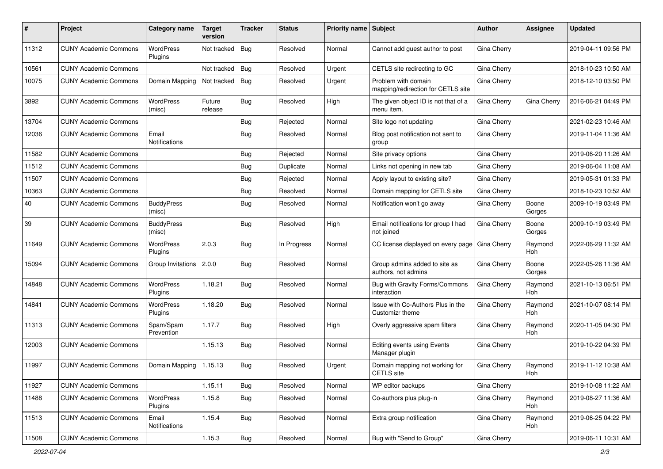| #     | Project                      | Category name               | <b>Target</b><br>version | <b>Tracker</b> | <b>Status</b> | <b>Priority name   Subject</b> |                                                           | Author      | Assignee              | <b>Updated</b>      |
|-------|------------------------------|-----------------------------|--------------------------|----------------|---------------|--------------------------------|-----------------------------------------------------------|-------------|-----------------------|---------------------|
| 11312 | <b>CUNY Academic Commons</b> | <b>WordPress</b><br>Plugins | Not tracked              | Bug            | Resolved      | Normal                         | Cannot add guest author to post                           | Gina Cherry |                       | 2019-04-11 09:56 PM |
| 10561 | <b>CUNY Academic Commons</b> |                             | Not tracked              | Bug            | Resolved      | Urgent                         | CETLS site redirecting to GC                              | Gina Cherry |                       | 2018-10-23 10:50 AM |
| 10075 | <b>CUNY Academic Commons</b> | Domain Mapping              | Not tracked              | Bug            | Resolved      | Urgent                         | Problem with domain<br>mapping/redirection for CETLS site | Gina Cherry |                       | 2018-12-10 03:50 PM |
| 3892  | <b>CUNY Academic Commons</b> | <b>WordPress</b><br>(misc)  | Future<br>release        | Bug            | Resolved      | High                           | The given object ID is not that of a<br>menu item.        | Gina Cherry | Gina Cherry           | 2016-06-21 04:49 PM |
| 13704 | <b>CUNY Academic Commons</b> |                             |                          | Bug            | Rejected      | Normal                         | Site logo not updating                                    | Gina Cherry |                       | 2021-02-23 10:46 AM |
| 12036 | <b>CUNY Academic Commons</b> | Email<br>Notifications      |                          | Bug            | Resolved      | Normal                         | Blog post notification not sent to<br>group               | Gina Cherry |                       | 2019-11-04 11:36 AM |
| 11582 | <b>CUNY Academic Commons</b> |                             |                          | Bug            | Rejected      | Normal                         | Site privacy options                                      | Gina Cherry |                       | 2019-06-20 11:26 AM |
| 11512 | <b>CUNY Academic Commons</b> |                             |                          | Bug            | Duplicate     | Normal                         | Links not opening in new tab                              | Gina Cherry |                       | 2019-06-04 11:08 AM |
| 11507 | <b>CUNY Academic Commons</b> |                             |                          | Bug            | Rejected      | Normal                         | Apply layout to existing site?                            | Gina Cherry |                       | 2019-05-31 01:33 PM |
| 10363 | <b>CUNY Academic Commons</b> |                             |                          | Bug            | Resolved      | Normal                         | Domain mapping for CETLS site                             | Gina Cherry |                       | 2018-10-23 10:52 AM |
| 40    | <b>CUNY Academic Commons</b> | <b>BuddyPress</b><br>(misc) |                          | Bug            | Resolved      | Normal                         | Notification won't go away                                | Gina Cherry | Boone<br>Gorges       | 2009-10-19 03:49 PM |
| 39    | <b>CUNY Academic Commons</b> | <b>BuddyPress</b><br>(misc) |                          | Bug            | Resolved      | High                           | Email notifications for group I had<br>not joined         | Gina Cherry | Boone<br>Gorges       | 2009-10-19 03:49 PM |
| 11649 | <b>CUNY Academic Commons</b> | WordPress<br>Plugins        | 2.0.3                    | Bug            | In Progress   | Normal                         | CC license displayed on every page                        | Gina Cherry | Raymond<br>Hoh        | 2022-06-29 11:32 AM |
| 15094 | <b>CUNY Academic Commons</b> | Group Invitations           | 2.0.0                    | Bug            | Resolved      | Normal                         | Group admins added to site as<br>authors, not admins      | Gina Cherry | Boone<br>Gorges       | 2022-05-26 11:36 AM |
| 14848 | <b>CUNY Academic Commons</b> | <b>WordPress</b><br>Plugins | 1.18.21                  | <b>Bug</b>     | Resolved      | Normal                         | Bug with Gravity Forms/Commons<br>interaction             | Gina Cherry | Raymond<br><b>Hoh</b> | 2021-10-13 06:51 PM |
| 14841 | <b>CUNY Academic Commons</b> | <b>WordPress</b><br>Plugins | 1.18.20                  | Bug            | Resolved      | Normal                         | Issue with Co-Authors Plus in the<br>Customizr theme      | Gina Cherry | Raymond<br><b>Hoh</b> | 2021-10-07 08:14 PM |
| 11313 | <b>CUNY Academic Commons</b> | Spam/Spam<br>Prevention     | 1.17.7                   | Bug            | Resolved      | High                           | Overly aggressive spam filters                            | Gina Cherry | Raymond<br>Hoh        | 2020-11-05 04:30 PM |
| 12003 | <b>CUNY Academic Commons</b> |                             | 1.15.13                  | Bug            | Resolved      | Normal                         | Editing events using Events<br>Manager plugin             | Gina Cherry |                       | 2019-10-22 04:39 PM |
| 11997 | <b>CUNY Academic Commons</b> | Domain Mapping              | 1.15.13                  | Bug            | Resolved      | Urgent                         | Domain mapping not working for<br>CETLS site              | Gina Cherry | Raymond<br>Hoh        | 2019-11-12 10:38 AM |
| 11927 | <b>CUNY Academic Commons</b> |                             | 1.15.11                  | Bug            | Resolved      | Normal                         | WP editor backups                                         | Gina Cherry |                       | 2019-10-08 11:22 AM |
| 11488 | <b>CUNY Academic Commons</b> | WordPress<br>Plugins        | 1.15.8                   | <b>Bug</b>     | Resolved      | Normal                         | Co-authors plus plug-in                                   | Gina Cherry | Raymond<br>Hoh        | 2019-08-27 11:36 AM |
| 11513 | <b>CUNY Academic Commons</b> | Email<br>Notifications      | 1.15.4                   | <b>Bug</b>     | Resolved      | Normal                         | Extra group notification                                  | Gina Cherry | Raymond<br>Hoh        | 2019-06-25 04:22 PM |
| 11508 | <b>CUNY Academic Commons</b> |                             | 1.15.3                   | <b>Bug</b>     | Resolved      | Normal                         | Bug with "Send to Group"                                  | Gina Cherry |                       | 2019-06-11 10:31 AM |